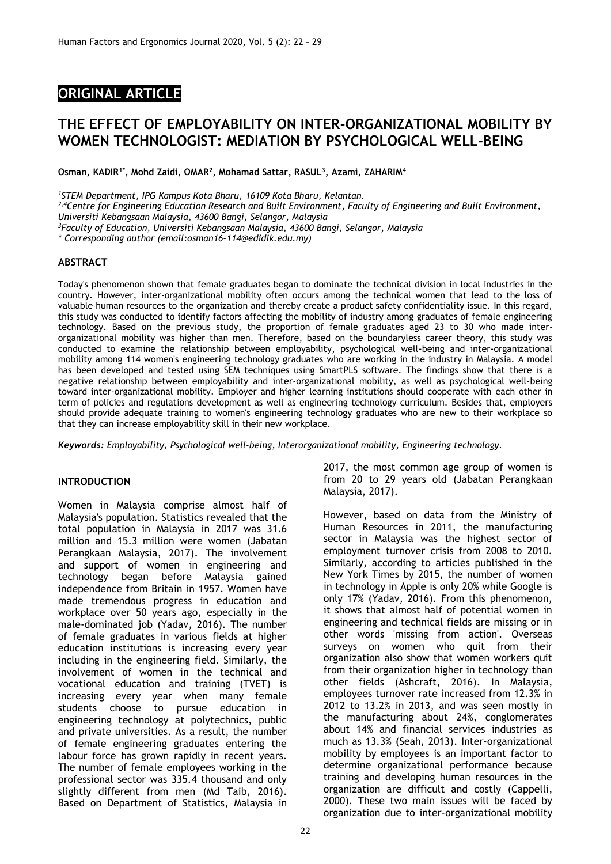# **ORIGINAL ARTICLE**

# **THE EFFECT OF EMPLOYABILITY ON INTER-ORGANIZATIONAL MOBILITY BY WOMEN TECHNOLOGIST: MEDIATION BY PSYCHOLOGICAL WELL-BEING**

**Osman, KADIR1\* , Mohd Zaidi, OMAR<sup>2</sup> , Mohamad Sattar, RASUL<sup>3</sup> , Azami, ZAHARIM<sup>4</sup>**

*<sup>1</sup>STEM Department, IPG Kampus Kota Bharu, 16109 Kota Bharu, Kelantan.*

*2,4Centre for Engineering Education Research and Built Environment, Faculty of Engineering and Built Environment, Universiti Kebangsaan Malaysia, 43600 Bangi, Selangor, Malaysia*

*<sup>3</sup>Faculty of Education, Universiti Kebangsaan Malaysia, 43600 Bangi, Selangor, Malaysia*

*\* Corresponding author (email:osman16-114@edidik.edu.my)*

# **ABSTRACT**

Today's phenomenon shown that female graduates began to dominate the technical division in local industries in the country. However, inter-organizational mobility often occurs among the technical women that lead to the loss of valuable human resources to the organization and thereby create a product safety confidentiality issue. In this regard, this study was conducted to identify factors affecting the mobility of industry among graduates of female engineering technology. Based on the previous study, the proportion of female graduates aged 23 to 30 who made interorganizational mobility was higher than men. Therefore, based on the boundaryless career theory, this study was conducted to examine the relationship between employability, psychological well-being and inter-organizational mobility among 114 women's engineering technology graduates who are working in the industry in Malaysia. A model has been developed and tested using SEM techniques using SmartPLS software. The findings show that there is a negative relationship between employability and inter-organizational mobility, as well as psychological well-being toward inter-organizational mobility. Employer and higher learning institutions should cooperate with each other in term of policies and regulations development as well as engineering technology curriculum. Besides that, employers should provide adequate training to women's engineering technology graduates who are new to their workplace so that they can increase employability skill in their new workplace.

*Keywords: Employability, Psychological well-being, Interorganizational mobility, Engineering technology.*

## **INTRODUCTION**

Women in Malaysia comprise almost half of Malaysia's population. Statistics revealed that the total population in Malaysia in 2017 was 31.6 million and 15.3 million were women (Jabatan Perangkaan Malaysia, 2017). The involvement and support of women in engineering and technology began before Malaysia gained independence from Britain in 1957. Women have made tremendous progress in education and workplace over 50 years ago, especially in the male-dominated job (Yadav, 2016). The number of female graduates in various fields at higher education institutions is increasing every year including in the engineering field. Similarly, the involvement of women in the technical and vocational education and training (TVET) is increasing every year when many female students choose to pursue education in engineering technology at polytechnics, public and private universities. As a result, the number of female engineering graduates entering the labour force has grown rapidly in recent years. The number of female employees working in the professional sector was 335.4 thousand and only slightly different from men (Md Taib, 2016). Based on Department of Statistics, Malaysia in

2017, the most common age group of women is from 20 to 29 years old (Jabatan Perangkaan Malaysia, 2017).

However, based on data from the Ministry of Human Resources in 2011, the manufacturing sector in Malaysia was the highest sector of employment turnover crisis from 2008 to 2010. Similarly, according to articles published in the New York Times by 2015, the number of women in technology in Apple is only 20% while Google is only 17% (Yadav, 2016). From this phenomenon, it shows that almost half of potential women in engineering and technical fields are missing or in other words 'missing from action'. Overseas surveys on women who quit from their organization also show that women workers quit from their organization higher in technology than other fields (Ashcraft, 2016). In Malaysia, employees turnover rate increased from 12.3% in 2012 to 13.2% in 2013, and was seen mostly in the manufacturing about 24%, conglomerates about 14% and financial services industries as much as 13.3% (Seah, 2013). Inter-organizational mobility by employees is an important factor to determine organizational performance because training and developing human resources in the organization are difficult and costly (Cappelli, 2000). These two main issues will be faced by organization due to inter-organizational mobility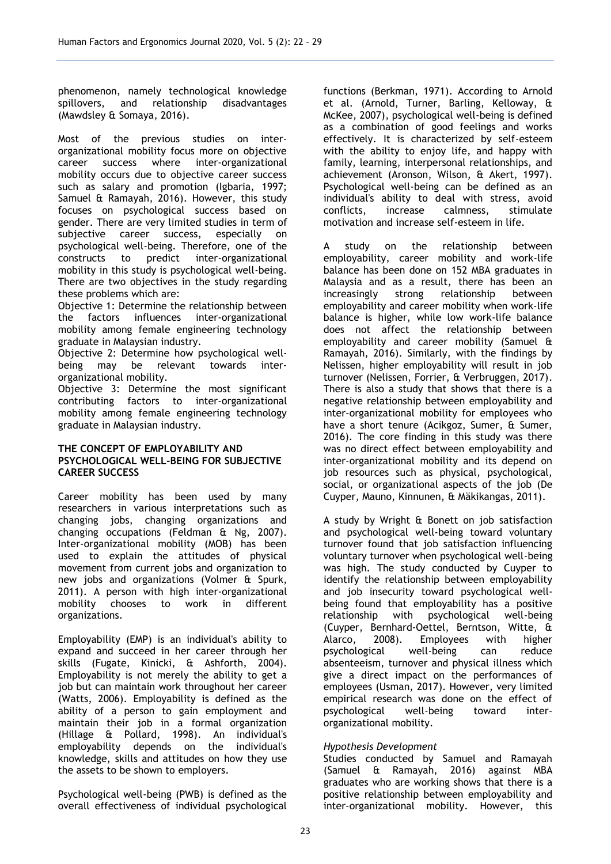phenomenon, namely technological knowledge spillovers, and relationship disadvantages (Mawdsley & Somaya, 2016).

Most of the previous studies on interorganizational mobility focus more on objective<br>career success where inter-organizational career success where mobility occurs due to objective career success such as salary and promotion (Igbaria, 1997; Samuel & Ramayah, 2016). However, this study focuses on psychological success based on gender. There are very limited studies in term of<br>subiective career success. especially on subjective career success, especially on psychological well-being. Therefore, one of the constructs to predict inter-organizational mobility in this study is psychological well-being. There are two objectives in the study regarding these problems which are:

Objective 1: Determine the relationship between the factors influences inter-organizational mobility among female engineering technology graduate in Malaysian industry.

Objective 2: Determine how psychological wellbeing may be relevant towards interorganizational mobility.

Objective 3: Determine the most significant contributing factors to inter-organizational mobility among female engineering technology graduate in Malaysian industry.

## **THE CONCEPT OF EMPLOYABILITY AND PSYCHOLOGICAL WELL-BEING FOR SUBJECTIVE CAREER SUCCESS**

Career mobility has been used by many researchers in various interpretations such as changing jobs, changing organizations and changing occupations (Feldman & Ng, 2007). Inter-organizational mobility (MOB) has been used to explain the attitudes of physical movement from current jobs and organization to new jobs and organizations (Volmer & Spurk, 2011). A person with high inter-organizational mobility chooses to work in different organizations.

Employability (EMP) is an individual's ability to expand and succeed in her career through her skills (Fugate, Kinicki, & Ashforth, 2004). Employability is not merely the ability to get a job but can maintain work throughout her career (Watts, 2006). Employability is defined as the ability of a person to gain employment and maintain their job in a formal organization (Hillage & Pollard, 1998). An individual's employability depends on the individual's knowledge, skills and attitudes on how they use the assets to be shown to employers.

Psychological well-being (PWB) is defined as the overall effectiveness of individual psychological

functions (Berkman, 1971). According to Arnold et al. (Arnold, Turner, Barling, Kelloway, & McKee, 2007), psychological well-being is defined as a combination of good feelings and works effectively. It is characterized by self-esteem with the ability to enjoy life, and happy with family, learning, interpersonal relationships, and achievement (Aronson, Wilson, & Akert, 1997). Psychological well-being can be defined as an individual's ability to deal with stress, avoid calmness, motivation and increase self-esteem in life.

A study on the relationship between employability, career mobility and work-life balance has been done on 152 MBA graduates in Malaysia and as a result, there has been an increasingly strong relationship between employability and career mobility when work-life balance is higher, while low work-life balance does not affect the relationship between employability and career mobility (Samuel & Ramayah, 2016). Similarly, with the findings by Nelissen, higher employability will result in job turnover (Nelissen, Forrier, & Verbruggen, 2017). There is also a study that shows that there is a negative relationship between employability and inter-organizational mobility for employees who have a short tenure (Acikgoz, Sumer, & Sumer, 2016). The core finding in this study was there was no direct effect between employability and inter-organizational mobility and its depend on job resources such as physical, psychological, social, or organizational aspects of the job (De Cuyper, Mauno, Kinnunen, & Mäkikangas, 2011).

A study by Wright & Bonett on job satisfaction and psychological well-being toward voluntary turnover found that job satisfaction influencing voluntary turnover when psychological well-being was high. The study conducted by Cuyper to identify the relationship between employability and job insecurity toward psychological wellbeing found that employability has a positive relationship with psychological well-being (Cuyper, Bernhard‐Oettel, Berntson, Witte, & Alarco, 2008). Employees with higher psychological well-being can reduce absenteeism, turnover and physical illness which give a direct impact on the performances of employees (Usman, 2017). However, very limited empirical research was done on the effect of psychological well-being toward interorganizational mobility.

# *Hypothesis Development*

Studies conducted by Samuel and Ramayah (Samuel & Ramayah, 2016) against MBA graduates who are working shows that there is a positive relationship between employability and inter-organizational mobility. However, this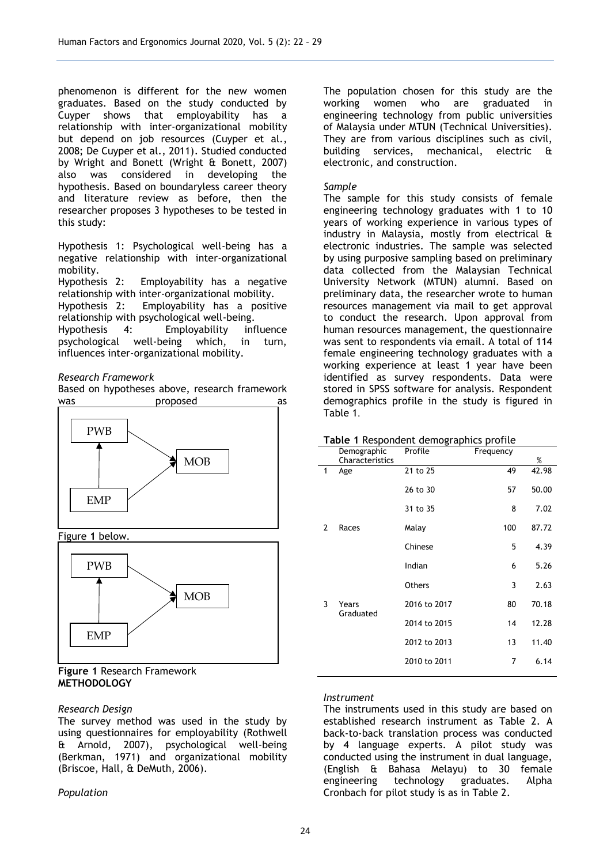phenomenon is different for the new women graduates. Based on the study conducted by Cuyper shows that employability has a relationship with inter-organizational mobility but depend on job resources (Cuyper et al., 2008; De Cuyper et al., 2011). Studied conducted by Wright and Bonett (Wright & Bonett, 2007) also was considered in developing the hypothesis. Based on boundaryless career theory and literature review as before, then the researcher proposes 3 hypotheses to be tested in this study:

Hypothesis 1: Psychological well-being has a negative relationship with inter-organizational mobility.

Hypothesis 2: Employability has a negative relationship with inter-organizational mobility.

Hypothesis 2: Employability has a positive relationship with psychological well-being. Hypothesis 4: Employability influence<br>psychological well-being which, in turn, psychological well-being influences inter-organizational mobility.

#### *Research Framework*

Based on hypotheses above, research framework was **proposed** as



[Figure](#page-2-0) **1** below.

<span id="page-2-0"></span>

## **Figure 1** Research Framework **METHODOLOGY**

## *Research Design*

The survey method was used in the study by using questionnaires for employability (Rothwell & Arnold, 2007), psychological well-being (Berkman, 1971) and organizational mobility (Briscoe, Hall, & DeMuth, 2006).

*Population*

The population chosen for this study are the working women who are graduated in engineering technology from public universities of Malaysia under MTUN (Technical Universities). They are from various disciplines such as civil, building services, mechanical, electric & electronic, and construction.

## *Sample*

The sample for this study consists of female engineering technology graduates with 1 to 10 years of working experience in various types of industry in Malaysia, mostly from electrical & electronic industries. The sample was selected by using purposive sampling based on preliminary data collected from the Malaysian Technical University Network (MTUN) alumni. Based on preliminary data, the researcher wrote to human resources management via mail to get approval to conduct the research. Upon approval from human resources management, the questionnaire was sent to respondents via email. A total of 114 female engineering technology graduates with a working experience at least 1 year have been identified as survey respondents. Data were stored in SPSS software for analysis. Respondent demographics profile in the study is figured in Table 1.

#### **Table 1** Respondent demographics profile

|                | Demographic<br>Characteristics | Profile      | Frequency | $\%$  |
|----------------|--------------------------------|--------------|-----------|-------|
| 1              | Age                            | 21 to 25     | 49        | 42.98 |
|                |                                | 26 to 30     | 57        | 50.00 |
|                |                                | 31 to 35     | 8         | 7.02  |
| $\overline{2}$ | Races                          | Malay        | 100       | 87.72 |
|                |                                | Chinese      | 5         | 4.39  |
|                |                                | Indian       | 6         | 5.26  |
|                |                                | Others       | 3         | 2.63  |
| 3              | Years<br>Graduated             | 2016 to 2017 | 80        | 70.18 |
|                |                                | 2014 to 2015 | 14        | 12.28 |
|                |                                | 2012 to 2013 | 13        | 11.40 |
|                |                                | 2010 to 2011 | 7         | 6.14  |

## *Instrument*

The instruments used in this study are based on established research instrument as [Table 2.](#page-3-0) A back-to-back translation process was conducted by 4 language experts. A pilot study was conducted using the instrument in dual language, (English & Bahasa Melayu) to 30 female engineering technology graduates. Alpha Cronbach for pilot study is as in [Table 2.](#page-3-0)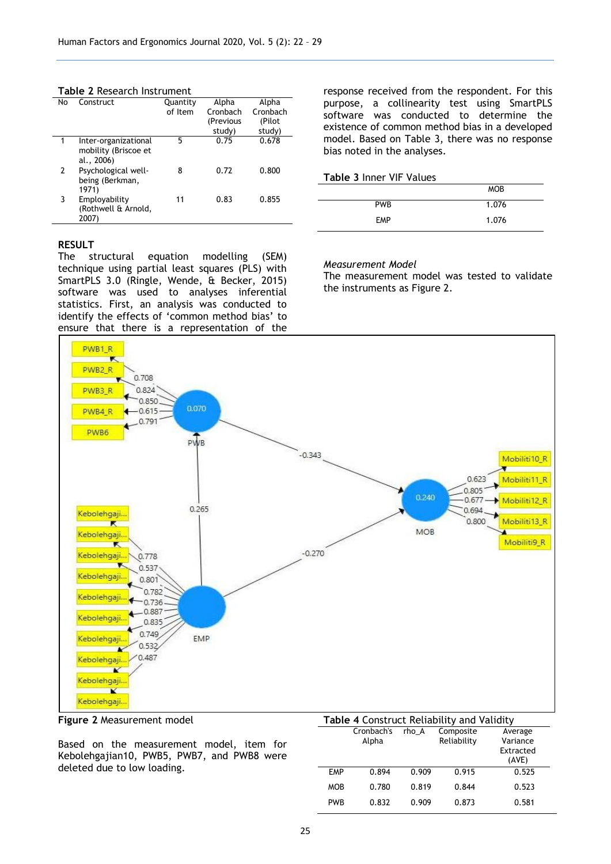#### <span id="page-3-0"></span>**Table 2** Research Instrument

| No | Construct            | Quantity | Alpha     | Alpha    |
|----|----------------------|----------|-----------|----------|
|    |                      | of Item  | Cronbach  | Cronbach |
|    |                      |          | (Previous | (Pilot   |
|    |                      |          | study)    | study)   |
| 1  | Inter-organizational | 5        | 0.75      | 0.678    |
|    | mobility (Briscoe et |          |           |          |
|    | al., 2006)           |          |           |          |
| 2  | Psychological well-  | 8        | 0.72      | 0.800    |
|    | being (Berkman,      |          |           |          |
|    | 1971)                |          |           |          |
| 3  | Employability        | 11       | 0.83      | 0.855    |
|    | (Rothwell & Arnold,  |          |           |          |
|    | 2007)                |          |           |          |

## **RESULT**

The structural equation modelling (SEM) technique using partial least squares (PLS) with SmartPLS 3.0 (Ringle, Wende, & Becker, 2015) software was used to analyses inferential statistics. First, an analysis was conducted to identify the effects of 'common method bias' to ensure that there is a representation of the response received from the respondent. For this purpose, a collinearity test using SmartPLS software was conducted to determine the existence of common method bias in a developed model. Based on [Table 3,](#page-3-1) there was no response bias noted in the analyses.

<span id="page-3-1"></span>

| <b>Table 3 Inner VIF Values</b> |            |
|---------------------------------|------------|
|                                 | <b>MOB</b> |
| <b>PWR</b>                      | 1.076      |
| <b>FMP</b>                      | 1.076      |

## *Measurement Model*

The measurement model was tested to validate the instruments as [Figure](#page-3-2) 2.



## <span id="page-3-2"></span>**Figure 2** Measurement model

Based on the measurement model, item for Kebolehgajian10, PWB5, PWB7, and PWB8 were deleted due to low loading.

| Table 4 Construct Reliability and Validity |  |  |
|--------------------------------------------|--|--|
|                                            |  |  |

|            | Cronbach's<br>Alpha | rho A | Composite<br>Reliability | Average<br>Variance<br>Extracted<br>(AVE) |
|------------|---------------------|-------|--------------------------|-------------------------------------------|
| <b>EMP</b> | 0.894               | 0.909 | 0.915                    | 0.525                                     |
| <b>MOB</b> | 0.780               | 0.819 | 0.844                    | 0.523                                     |
| <b>PWB</b> | 0.832               | 0.909 | 0.873                    | 0.581                                     |
|            |                     |       |                          |                                           |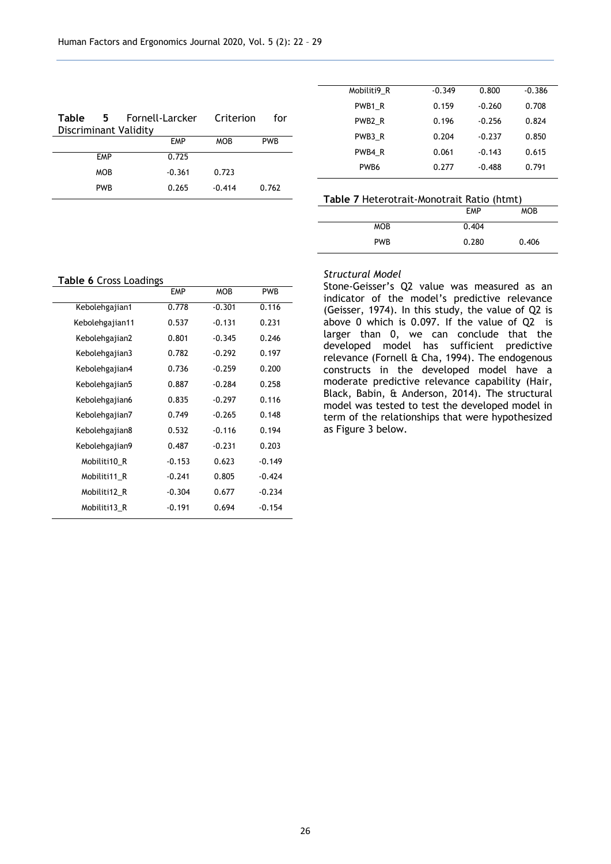| <b>Table</b><br>Discriminant Validity | 5.         | Fornell-Larcker | Criterion  | for        |
|---------------------------------------|------------|-----------------|------------|------------|
|                                       |            | <b>FMP</b>      | <b>MOB</b> | <b>PWB</b> |
|                                       | <b>EMP</b> | 0.725           |            |            |
|                                       | <b>MOB</b> | $-0.361$        | 0.723      |            |
|                                       | <b>PWB</b> | 0.265           | $-0.414$   | 0.762      |

| Mobiliti9 R      | $-0.349$ | 0.800    | $-0.386$ |
|------------------|----------|----------|----------|
| PWB1 R           | 0.159    | $-0.260$ | 0.708    |
| PWB2 R           | 0.196    | $-0.256$ | 0.824    |
| PWB3 R           | 0.204    | $-0.237$ | 0.850    |
| PWB4 R           | 0.061    | $-0.143$ | 0.615    |
| PW <sub>B6</sub> | 0.277    | $-0.488$ | 0.791    |

| Table 7 Heterotrait-Monotrait Ratio (htmt) |            |            |
|--------------------------------------------|------------|------------|
|                                            | <b>FMP</b> | <b>MOB</b> |
| <b>MOB</b>                                 | 0.404      |            |
| <b>PWR</b>                                 | 0.280      | 0.406      |

**Table 6** Cross Loadings

|                 | <b>EMP</b> | <b>MOB</b> | PWB      |
|-----------------|------------|------------|----------|
| Kebolehgajian1  | 0.778      | $-0.301$   | 0.116    |
| Kebolehgajian11 | 0.537      | $-0.131$   | 0.231    |
| Kebolehgajian2  | 0.801      | $-0.345$   | 0.246    |
| Kebolehgajian3  | 0.782      | $-0.292$   | 0.197    |
| Kebolehgajian4  | 0.736      | $-0.259$   | 0.200    |
| Kebolehgajian5  | 0.887      | $-0.284$   | 0.258    |
| Kebolehgajian6  | 0.835      | $-0.297$   | 0.116    |
| Kebolehgajian7  | 0.749      | $-0.265$   | 0.148    |
| Kebolehgajian8  | 0.532      | $-0.116$   | 0.194    |
| Kebolehgajian9  | 0.487      | $-0.231$   | 0.203    |
| Mobiliti10 R    | $-0.153$   | 0.623      | $-0.149$ |
| Mobiliti11 R    | $-0.241$   | 0.805      | $-0.424$ |
| Mobiliti12_R    | $-0.304$   | 0.677      | $-0.234$ |
| Mobiliti13_R    | $-0.191$   | 0.694      | $-0.154$ |
|                 |            |            |          |

#### *Structural Model*

Stone-Geisser's Q2 value was measured as an indicator of the model's predictive relevance (Geisser, 1974). In this study, the value of Q2 is above 0 which is 0.097. If the value of Q2 is larger than 0, we can conclude that the developed model has sufficient predictive relevance (Fornell & Cha, 1994). The endogenous constructs in the developed model have a moderate predictive relevance capability (Hair, Black, Babin, & Anderson, 2014). The structural model was tested to test the developed model in term of the relationships that were hypothesized as [Figure](#page-5-0) 3 below.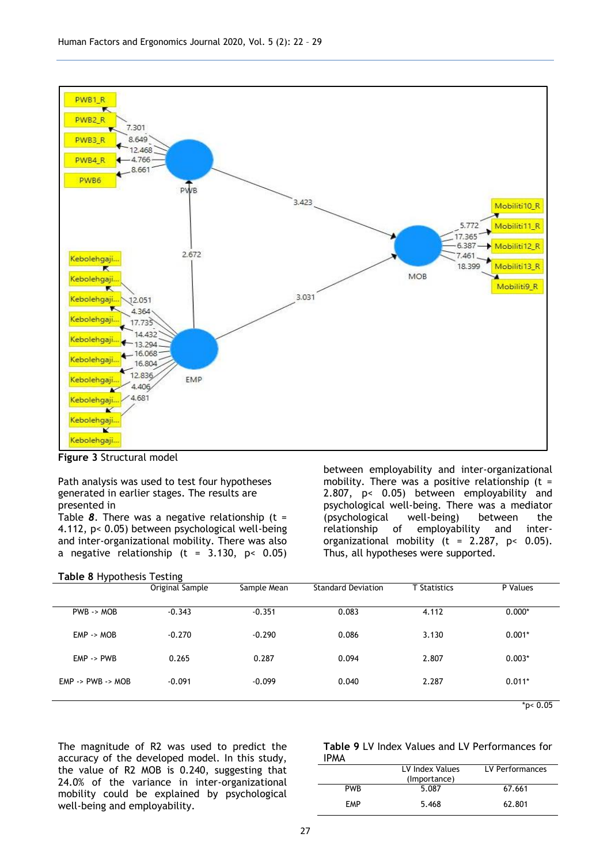

<span id="page-5-0"></span>**Figure 3** Structural model

Path analysis was used to test four hypotheses generated in earlier stages. The results are presented in

[Table](#page-5-1) *8*. There was a negative relationship (t = 4.112, p< 0.05) between psychological well-being and inter-organizational mobility. There was also a negative relationship  $(t = 3.130, p < 0.05)$ 

between employability and inter-organizational mobility. There was a positive relationship ( $t =$ 2.807, p< 0.05) between employability and psychological well-being. There was a mediator (psychological well-being) between the relationship of employability and interorganizational mobility (t =  $2.287$ , p< 0.05). Thus, all hypotheses were supported.

<span id="page-5-1"></span>

| Table 8 Hypothesis Testing            |                 |             |                           |                     |                      |
|---------------------------------------|-----------------|-------------|---------------------------|---------------------|----------------------|
|                                       | Original Sample | Sample Mean | <b>Standard Deviation</b> | <b>T</b> Statistics | P Values             |
|                                       |                 |             |                           |                     |                      |
| $PWB \rightarrow MOB$                 | $-0.343$        | $-0.351$    | 0.083                     | 4.112               | $0.000*$             |
| $EMP \rightarrow MOB$                 | $-0.270$        | $-0.290$    | 0.086                     | 3.130               | $0.001*$             |
|                                       |                 |             |                           |                     |                      |
| $EMP \rightarrow PWB$                 | 0.265           | 0.287       | 0.094                     | 2.807               | $0.003*$             |
|                                       |                 |             |                           |                     |                      |
| $EMP \rightarrow PWB \rightarrow MOB$ | $-0.091$        | $-0.099$    | 0.040                     | 2.287               | $0.011*$             |
|                                       |                 |             |                           |                     | $\sim$ $\sim$ $\sim$ |

\*p< 0.05

The magnitude of R2 was used to predict the accuracy of the developed model. In this study, the value of R2 MOB is 0.240, suggesting that 24.0% of the variance in inter-organizational mobility could be explained by psychological well-being and employability.

|             |  |  |  | Table 9 LV Index Values and LV Performances for |  |
|-------------|--|--|--|-------------------------------------------------|--|
| <b>IPMA</b> |  |  |  |                                                 |  |

| 11100      |                 |                 |
|------------|-----------------|-----------------|
|            | LV Index Values | LV Performances |
|            | (Importance)    |                 |
| <b>PWR</b> | 5.087           | 67.661          |
| <b>FMP</b> | 5.468           | 62.801          |
|            |                 |                 |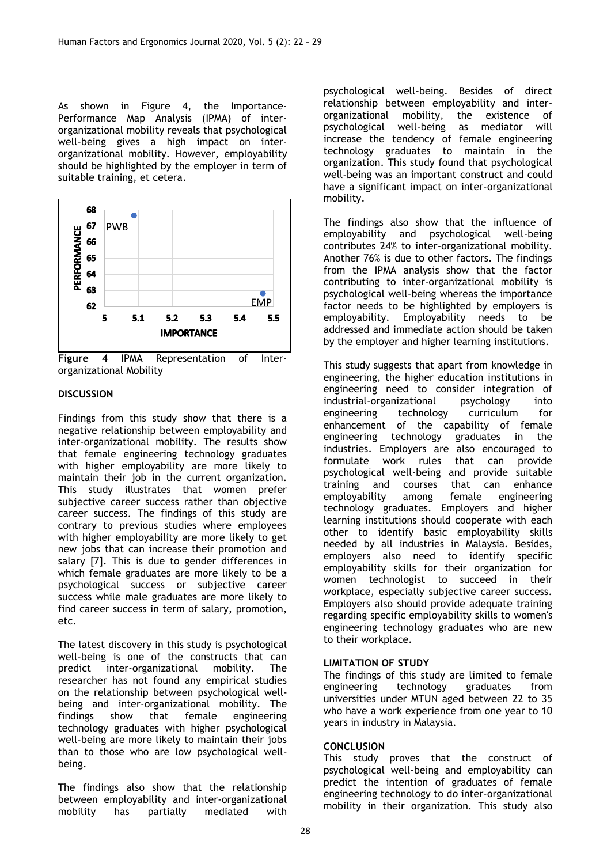As shown in [Figure](#page-6-0) 4, the Importance-Performance Map Analysis (IPMA) of interorganizational mobility reveals that psychological well-being gives a high impact on interorganizational mobility. However, employability should be highlighted by the employer in term of suitable training, et cetera.



<span id="page-6-0"></span>**Figure 4** IPMA Representation of Interorganizational Mobility

# **DISCUSSION**

Findings from this study show that there is a negative relationship between employability and inter-organizational mobility. The results show that female engineering technology graduates with higher employability are more likely to maintain their job in the current organization. This study illustrates that women prefer subjective career success rather than objective career success. The findings of this study are contrary to previous studies where employees with higher employability are more likely to get new jobs that can increase their promotion and salary [7]. This is due to gender differences in which female graduates are more likely to be a psychological success or subjective career success while male graduates are more likely to find career success in term of salary, promotion, etc.

The latest discovery in this study is psychological well-being is one of the constructs that can predict inter-organizational mobility. The researcher has not found any empirical studies on the relationship between psychological wellbeing and inter-organizational mobility. The findings show that female engineering technology graduates with higher psychological well-being are more likely to maintain their jobs than to those who are low psychological wellbeing.

The findings also show that the relationship between employability and inter-organizational mobility has partially mediated with

psychological well-being. Besides of direct relationship between employability and interorganizational mobility, the existence of psychological well-being as mediator will increase the tendency of female engineering technology graduates to maintain in the organization. This study found that psychological well-being was an important construct and could have a significant impact on inter-organizational mobility.

The findings also show that the influence of employability and psychological well-being contributes 24% to inter-organizational mobility. Another 76% is due to other factors. The findings from the IPMA analysis show that the factor contributing to inter-organizational mobility is psychological well-being whereas the importance factor needs to be highlighted by employers is employability. Employability needs to be addressed and immediate action should be taken by the employer and higher learning institutions.

This study suggests that apart from knowledge in engineering, the higher education institutions in engineering need to consider integration of<br>industrial-organizational psychology into industrial-organizational psychology into engineering enhancement of the capability of female engineering technology graduates in the industries. Employers are also encouraged to formulate work rules that can provide psychological well-being and provide suitable training and courses that can enhance<br>employability among female engineering employability among female engineering technology graduates. Employers and higher learning institutions should cooperate with each other to identify basic employability skills needed by all industries in Malaysia. Besides, employers also need to identify specific employability skills for their organization for women technologist to succeed in their workplace, especially subjective career success. Employers also should provide adequate training regarding specific employability skills to women's engineering technology graduates who are new to their workplace.

## **LIMITATION OF STUDY**

The findings of this study are limited to female engineering technology graduates from universities under MTUN aged between 22 to 35 who have a work experience from one year to 10 years in industry in Malaysia.

## **CONCLUSION**

This study proves that the construct of psychological well-being and employability can predict the intention of graduates of female engineering technology to do inter-organizational mobility in their organization. This study also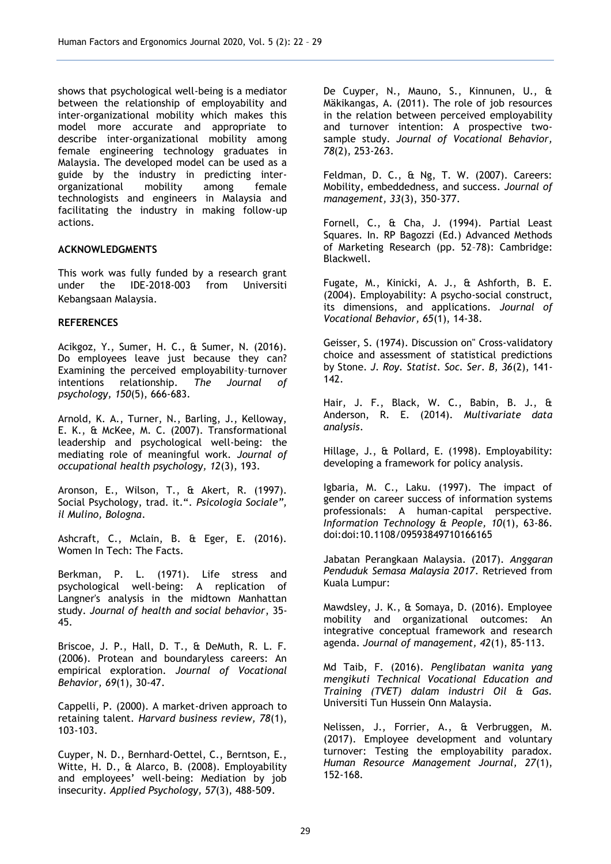shows that psychological well-being is a mediator between the relationship of employability and inter-organizational mobility which makes this model more accurate and appropriate to describe inter-organizational mobility among female engineering technology graduates in Malaysia. The developed model can be used as a guide by the industry in predicting inter-<br>organizational mobility among female organizational mobility among technologists and engineers in Malaysia and facilitating the industry in making follow-up actions.

## **ACKNOWLEDGMENTS**

This work was fully funded by a research grant under the IDE-2018-003 from Universiti Kebangsaan Malaysia.

## **REFERENCES**

Acikgoz, Y., Sumer, H. C., & Sumer, N. (2016). Do employees leave just because they can? Examining the perceived employability–turnover intentions relationship. *The Journal of psychology, 150*(5), 666-683.

Arnold, K. A., Turner, N., Barling, J., Kelloway, E. K., & McKee, M. C. (2007). Transformational leadership and psychological well-being: the mediating role of meaningful work. *Journal of occupational health psychology, 12*(3), 193.

Aronson, E., Wilson, T., & Akert, R. (1997). Social Psychology, trad. it.". *Psicologia Sociale", il Mulino, Bologna*.

Ashcraft, C., Mclain, B. & Eger, E. (2016). Women In Tech: The Facts.

Berkman, P. L. (1971). Life stress and psychological well-being: A replication of Langner's analysis in the midtown Manhattan study. *Journal of health and social behavior*, 35- 45.

Briscoe, J. P., Hall, D. T., & DeMuth, R. L. F. (2006). Protean and boundaryless careers: An empirical exploration. *Journal of Vocational Behavior, 69*(1), 30-47.

Cappelli, P. (2000). A market-driven approach to retaining talent. *Harvard business review, 78*(1), 103-103.

Cuyper, N. D., Bernhard‐Oettel, C., Berntson, E., Witte, H. D., & Alarco, B. (2008). Employability and employees' well‐being: Mediation by job insecurity. *Applied Psychology, 57*(3), 488-509.

De Cuyper, N., Mauno, S., Kinnunen, U., & Mäkikangas, A. (2011). The role of job resources in the relation between perceived employability and turnover intention: A prospective twosample study. *Journal of Vocational Behavior, 78*(2), 253-263.

Feldman, D. C., & Ng, T. W. (2007). Careers: Mobility, embeddedness, and success. *Journal of management, 33*(3), 350-377.

Fornell, C., & Cha, J. (1994). Partial Least Squares. In. RP Bagozzi (Ed.) Advanced Methods of Marketing Research (pp. 52–78): Cambridge: Blackwell.

Fugate, M., Kinicki, A. J., & Ashforth, B. E. (2004). Employability: A psycho-social construct, its dimensions, and applications. *Journal of Vocational Behavior, 65*(1), 14-38.

Geisser, S. (1974). Discussion on" Cross-validatory choice and assessment of statistical predictions by Stone. *J. Roy. Statist. Soc. Ser. B, 36*(2), 141- 142.

Hair, J. F., Black, W. C., Babin, B. J., & Anderson, R. E. (2014). *Multivariate data analysis*.

Hillage, J., & Pollard, E. (1998). Employability: developing a framework for policy analysis.

Igbaria, M. C., Laku. (1997). The impact of gender on career success of information systems professionals: A human‐capital perspective. *Information Technology & People, 10*(1), 63-86. doi:doi:10.1108/09593849710166165

Jabatan Perangkaan Malaysia. (2017). *Anggaran Penduduk Semasa Malaysia 2017*. Retrieved from Kuala Lumpur:

Mawdsley, J. K., & Somaya, D. (2016). Employee mobility and organizational outcomes: An integrative conceptual framework and research agenda. *Journal of management, 42*(1), 85-113.

Md Taib, F. (2016). *Penglibatan wanita yang mengikuti Technical Vocational Education and Training (TVET) dalam industri Oil & Gas.* Universiti Tun Hussein Onn Malaysia.

Nelissen, J., Forrier, A., & Verbruggen, M. (2017). Employee development and voluntary turnover: Testing the employability paradox. *Human Resource Management Journal, 27*(1), 152-168.